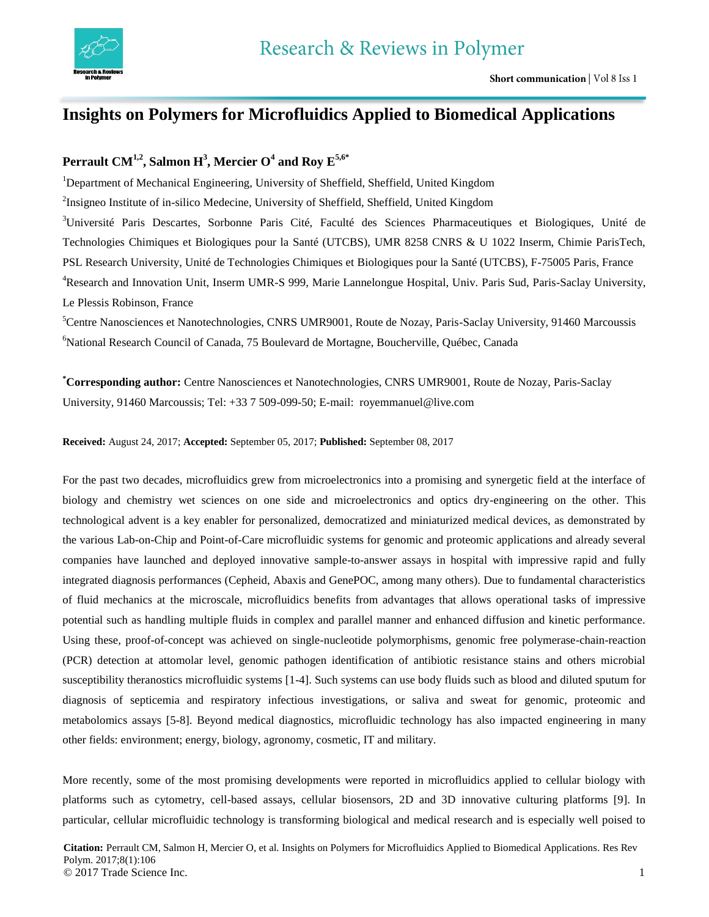

## **Insights on Polymers for Microfluidics Applied to Biomedical Applications**

## **Perrault CM1,2 , Salmon H 3 , Mercier O<sup>4</sup> and Roy E5,6\***

<sup>1</sup>Department of Mechanical Engineering, University of Sheffield, Sheffield, United Kingdom

<sup>2</sup>Insigneo Institute of in-silico Medecine, University of Sheffield, Sheffield, United Kingdom

<sup>3</sup>Université Paris Descartes, Sorbonne Paris Cité, Faculté des Sciences Pharmaceutiques et Biologiques, Unité de Technologies Chimiques et Biologiques pour la Santé (UTCBS), UMR 8258 CNRS & U 1022 Inserm, Chimie ParisTech, PSL Research University, Unité de Technologies Chimiques et Biologiques pour la Santé (UTCBS), F-75005 Paris, France <sup>4</sup>Research and Innovation Unit, Inserm UMR-S 999, Marie Lannelongue Hospital, Univ. Paris Sud, Paris-Saclay University, Le Plessis Robinson, France

<sup>5</sup>Centre Nanosciences et Nanotechnologies, CNRS UMR9001, Route de Nozay, Paris-Saclay University, 91460 Marcoussis <sup>6</sup>National Research Council of Canada, 75 Boulevard de Mortagne, Boucherville, Québec, Canada

**\*Corresponding author:** Centre Nanosciences et Nanotechnologies, CNRS UMR9001, Route de Nozay, Paris-Saclay University, 91460 Marcoussis; Tel: +33 7 509-099-50; E-mail: royemmanuel@live.com

**Received:** August 24, 2017; **Accepted:** September 05, 2017; **Published:** September 08, 2017

For the past two decades, microfluidics grew from microelectronics into a promising and synergetic field at the interface of biology and chemistry wet sciences on one side and microelectronics and optics dry-engineering on the other. This technological advent is a key enabler for personalized, democratized and miniaturized medical devices, as demonstrated by the various Lab-on-Chip and Point-of-Care microfluidic systems for genomic and proteomic applications and already several companies have launched and deployed innovative sample-to-answer assays in hospital with impressive rapid and fully integrated diagnosis performances (Cepheid, Abaxis and GenePOC, among many others). Due to fundamental characteristics of fluid mechanics at the microscale, microfluidics benefits from advantages that allows operational tasks of impressive potential such as handling multiple fluids in complex and parallel manner and enhanced diffusion and kinetic performance. Using these, proof-of-concept was achieved on single-nucleotide polymorphisms, genomic free polymerase-chain-reaction (PCR) detection at attomolar level, genomic pathogen identification of antibiotic resistance stains and others microbial susceptibility theranostics microfluidic systems [1-4]. Such systems can use body fluids such as blood and diluted sputum for diagnosis of septicemia and respiratory infectious investigations, or saliva and sweat for genomic, proteomic and metabolomics assays [5-8]. Beyond medical diagnostics, microfluidic technology has also impacted engineering in many other fields: environment; energy, biology, agronomy, cosmetic, IT and military.

More recently, some of the most promising developments were reported in microfluidics applied to cellular biology with platforms such as cytometry, cell-based assays, cellular biosensors, 2D and 3D innovative culturing platforms [9]. In particular, cellular microfluidic technology is transforming biological and medical research and is especially well poised to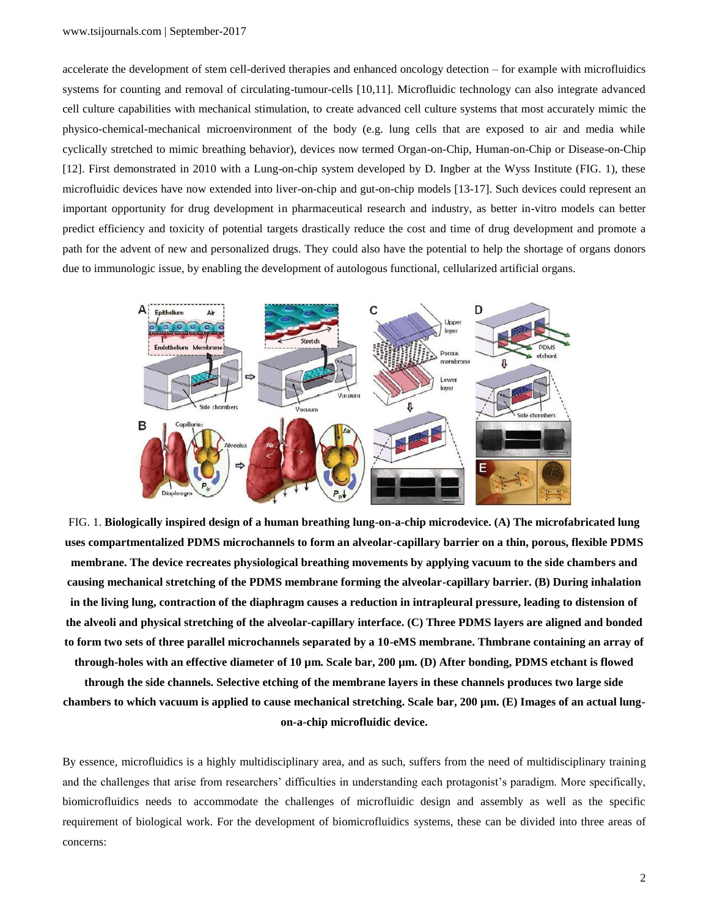accelerate the development of stem cell-derived therapies and enhanced oncology detection – for example with microfluidics systems for counting and removal of circulating-tumour-cells [10,11]. Microfluidic technology can also integrate advanced cell culture capabilities with mechanical stimulation, to create advanced cell culture systems that most accurately mimic the physico-chemical-mechanical microenvironment of the body (e.g. lung cells that are exposed to air and media while cyclically stretched to mimic breathing behavior), devices now termed Organ-on-Chip, Human-on-Chip or Disease-on-Chip [12]. First demonstrated in 2010 with a Lung-on-chip system developed by D. Ingber at the Wyss Institute (FIG. 1), these microfluidic devices have now extended into liver-on-chip and gut-on-chip models [13-17]. Such devices could represent an important opportunity for drug development in pharmaceutical research and industry, as better in-vitro models can better predict efficiency and toxicity of potential targets drastically reduce the cost and time of drug development and promote a path for the advent of new and personalized drugs. They could also have the potential to help the shortage of organs donors due to immunologic issue, by enabling the development of autologous functional, cellularized artificial organs.



FIG. 1. **Biologically inspired design of a human breathing lung-on-a-chip microdevice. (A) The microfabricated lung uses compartmentalized PDMS microchannels to form an alveolar-capillary barrier on a thin, porous, flexible PDMS membrane. The device recreates physiological breathing movements by applying vacuum to the side chambers and causing mechanical stretching of the PDMS membrane forming the alveolar-capillary barrier. (B) During inhalation in the living lung, contraction of the diaphragm causes a reduction in intrapleural pressure, leading to distension of the alveoli and physical stretching of the alveolar-capillary interface. (C) Three PDMS layers are aligned and bonded to form two sets of three parallel microchannels separated by a 10-eMS membrane. Thmbrane containing an array of through-holes with an effective diameter of 10 µm. Scale bar, 200 µm. (D) After bonding, PDMS etchant is flowed** 

**through the side channels. Selective etching of the membrane layers in these channels produces two large side chambers to which vacuum is applied to cause mechanical stretching. Scale bar, 200 µm. (E) Images of an actual lungon-a-chip microfluidic device.**

By essence, microfluidics is a highly multidisciplinary area, and as such, suffers from the need of multidisciplinary training and the challenges that arise from researchers' difficulties in understanding each protagonist's paradigm. More specifically, biomicrofluidics needs to accommodate the challenges of microfluidic design and assembly as well as the specific requirement of biological work. For the development of biomicrofluidics systems, these can be divided into three areas of concerns: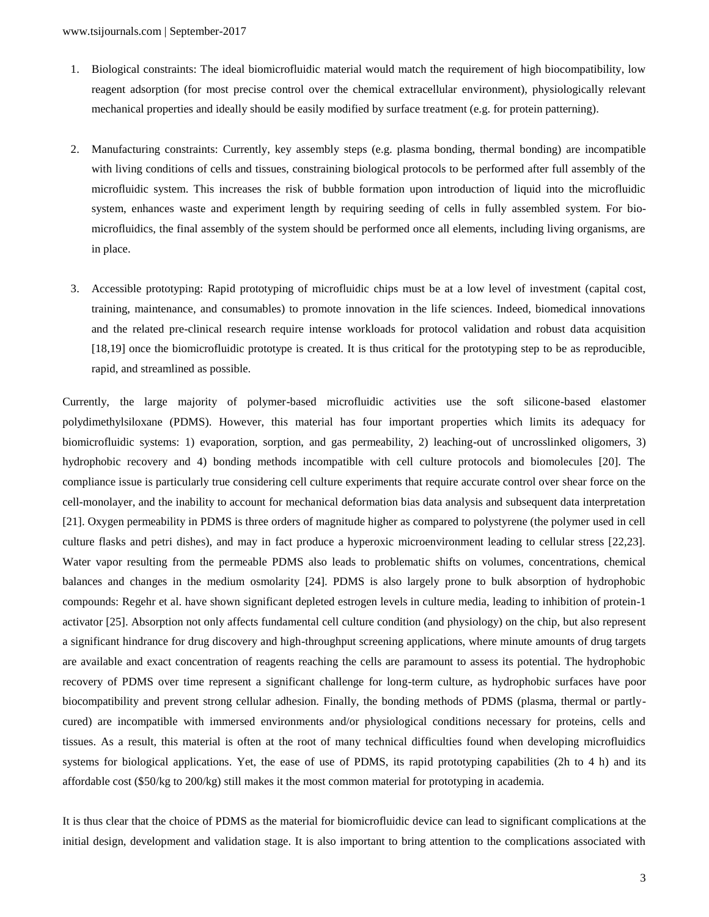- 1. Biological constraints: The ideal biomicrofluidic material would match the requirement of high biocompatibility, low reagent adsorption (for most precise control over the chemical extracellular environment), physiologically relevant mechanical properties and ideally should be easily modified by surface treatment (e.g. for protein patterning).
- 2. Manufacturing constraints: Currently, key assembly steps (e.g. plasma bonding, thermal bonding) are incompatible with living conditions of cells and tissues, constraining biological protocols to be performed after full assembly of the microfluidic system. This increases the risk of bubble formation upon introduction of liquid into the microfluidic system, enhances waste and experiment length by requiring seeding of cells in fully assembled system. For biomicrofluidics, the final assembly of the system should be performed once all elements, including living organisms, are in place.
- 3. Accessible prototyping: Rapid prototyping of microfluidic chips must be at a low level of investment (capital cost, training, maintenance, and consumables) to promote innovation in the life sciences. Indeed, biomedical innovations and the related pre-clinical research require intense workloads for protocol validation and robust data acquisition [18,19] once the biomicrofluidic prototype is created. It is thus critical for the prototyping step to be as reproducible, rapid, and streamlined as possible.

Currently, the large majority of polymer-based microfluidic activities use the soft silicone-based elastomer polydimethylsiloxane (PDMS). However, this material has four important properties which limits its adequacy for biomicrofluidic systems: 1) evaporation, sorption, and gas permeability, 2) leaching-out of uncrosslinked oligomers, 3) hydrophobic recovery and 4) bonding methods incompatible with cell culture protocols and biomolecules [20]. The compliance issue is particularly true considering cell culture experiments that require accurate control over shear force on the cell-monolayer, and the inability to account for mechanical deformation bias data analysis and subsequent data interpretation [21]. Oxygen permeability in PDMS is three orders of magnitude higher as compared to polystyrene (the polymer used in cell culture flasks and petri dishes), and may in fact produce a hyperoxic microenvironment leading to cellular stress [22,23]. Water vapor resulting from the permeable PDMS also leads to problematic shifts on volumes, concentrations, chemical balances and changes in the medium osmolarity [24]. PDMS is also largely prone to bulk absorption of hydrophobic compounds: Regehr et al. have shown significant depleted estrogen levels in culture media, leading to inhibition of protein-1 activator [25]. Absorption not only affects fundamental cell culture condition (and physiology) on the chip, but also represent a significant hindrance for drug discovery and high-throughput screening applications, where minute amounts of drug targets are available and exact concentration of reagents reaching the cells are paramount to assess its potential. The hydrophobic recovery of PDMS over time represent a significant challenge for long-term culture, as hydrophobic surfaces have poor biocompatibility and prevent strong cellular adhesion. Finally, the bonding methods of PDMS (plasma, thermal or partlycured) are incompatible with immersed environments and/or physiological conditions necessary for proteins, cells and tissues. As a result, this material is often at the root of many technical difficulties found when developing microfluidics systems for biological applications. Yet, the ease of use of PDMS, its rapid prototyping capabilities (2h to 4 h) and its affordable cost (\$50/kg to 200/kg) still makes it the most common material for prototyping in academia.

It is thus clear that the choice of PDMS as the material for biomicrofluidic device can lead to significant complications at the initial design, development and validation stage. It is also important to bring attention to the complications associated with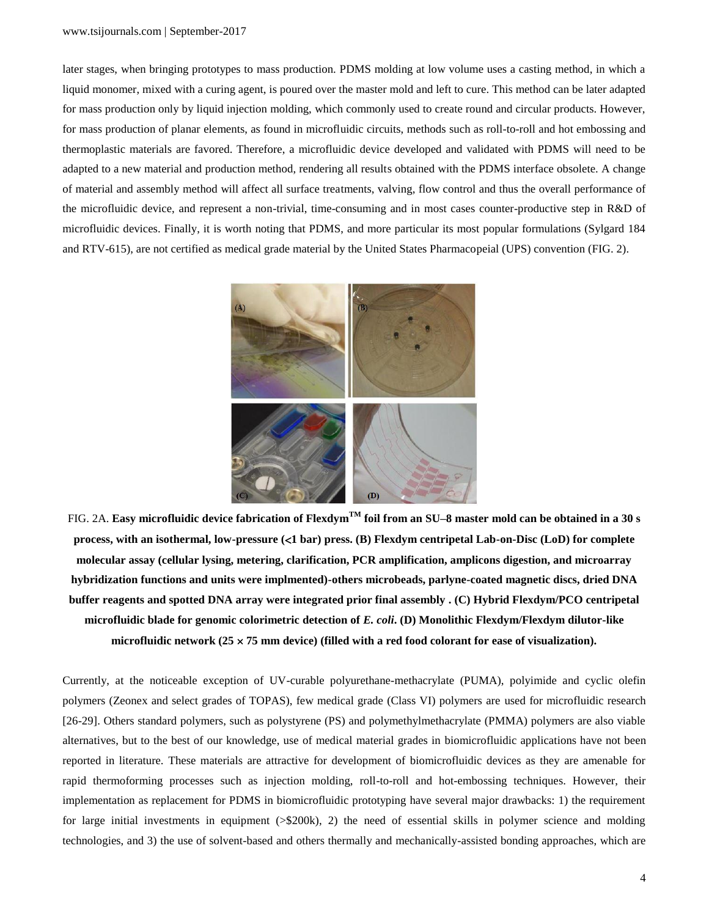## www.tsijournals.com | September-2017

later stages, when bringing prototypes to mass production. PDMS molding at low volume uses a casting method, in which a liquid monomer, mixed with a curing agent, is poured over the master mold and left to cure. This method can be later adapted for mass production only by liquid injection molding, which commonly used to create round and circular products. However, for mass production of planar elements, as found in microfluidic circuits, methods such as roll-to-roll and hot embossing and thermoplastic materials are favored. Therefore, a microfluidic device developed and validated with PDMS will need to be adapted to a new material and production method, rendering all results obtained with the PDMS interface obsolete. A change of material and assembly method will affect all surface treatments, valving, flow control and thus the overall performance of the microfluidic device, and represent a non-trivial, time-consuming and in most cases counter-productive step in R&D of microfluidic devices. Finally, it is worth noting that PDMS, and more particular its most popular formulations (Sylgard 184 and RTV-615), are not certified as medical grade material by the United States Pharmacopeial (UPS) convention (FIG. 2).



FIG. 2A. **Easy microfluidic device fabrication of FlexdymTM foil from an SU–8 master mold can be obtained in a 30 s process, with an isothermal, low-pressure (1 bar) press. (B) Flexdym centripetal Lab-on-Disc (LoD) for complete molecular assay (cellular lysing, metering, clarification, PCR amplification, amplicons digestion, and microarray hybridization functions and units were implmented)-others microbeads, parlyne-coated magnetic discs, dried DNA buffer reagents and spotted DNA array were integrated prior final assembly . (C) Hybrid Flexdym/PCO centripetal microfluidic blade for genomic colorimetric detection of** *E. coli***. (D) Monolithic Flexdym/Flexdym dilutor-like microfluidic network (25 75 mm device) (filled with a red food colorant for ease of visualization).**

Currently, at the noticeable exception of UV-curable polyurethane-methacrylate (PUMA), polyimide and cyclic olefin polymers (Zeonex and select grades of TOPAS), few medical grade (Class VI) polymers are used for microfluidic research [26-29]. Others standard polymers, such as polystyrene (PS) and polymethylmethacrylate (PMMA) polymers are also viable alternatives, but to the best of our knowledge, use of medical material grades in biomicrofluidic applications have not been reported in literature. These materials are attractive for development of biomicrofluidic devices as they are amenable for rapid thermoforming processes such as injection molding, roll-to-roll and hot-embossing techniques. However, their implementation as replacement for PDMS in biomicrofluidic prototyping have several major drawbacks: 1) the requirement for large initial investments in equipment (>\$200k), 2) the need of essential skills in polymer science and molding technologies, and 3) the use of solvent-based and others thermally and mechanically-assisted bonding approaches, which are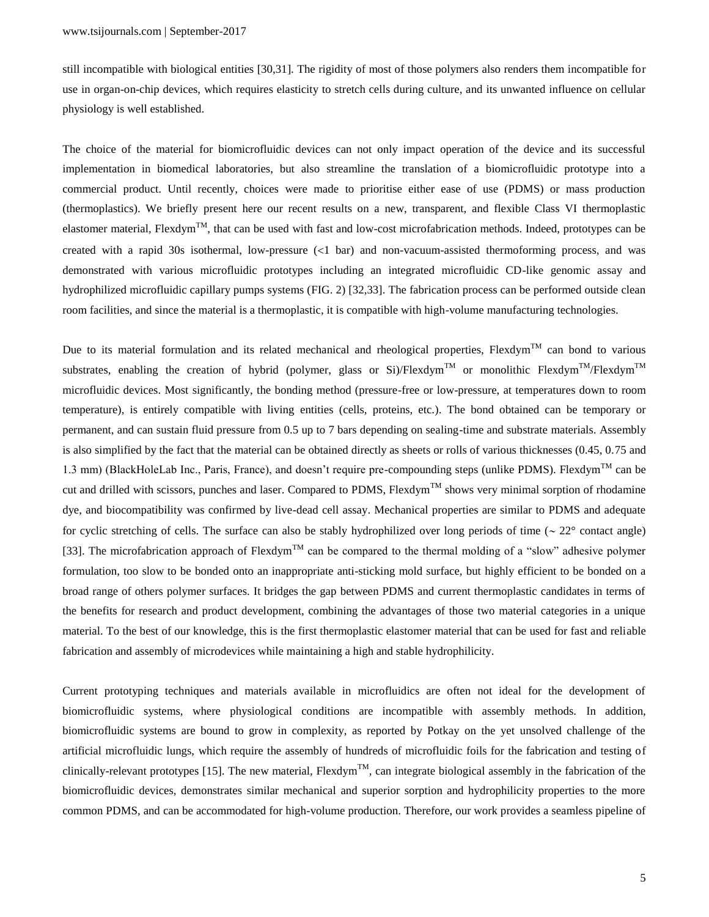still incompatible with biological entities [30,31]. The rigidity of most of those polymers also renders them incompatible for use in organ-on-chip devices, which requires elasticity to stretch cells during culture, and its unwanted influence on cellular physiology is well established.

The choice of the material for biomicrofluidic devices can not only impact operation of the device and its successful implementation in biomedical laboratories, but also streamline the translation of a biomicrofluidic prototype into a commercial product. Until recently, choices were made to prioritise either ease of use (PDMS) or mass production (thermoplastics). We briefly present here our recent results on a new, transparent, and flexible Class VI thermoplastic elastomer material, Flexdym<sup>TM</sup>, that can be used with fast and low-cost microfabrication methods. Indeed, prototypes can be created with a rapid 30s isothermal, low-pressure  $\langle 1 \text{ bar} \rangle$  and non-vacuum-assisted thermoforming process, and was demonstrated with various microfluidic prototypes including an integrated microfluidic CD-like genomic assay and hydrophilized microfluidic capillary pumps systems (FIG. 2) [32,33]. The fabrication process can be performed outside clean room facilities, and since the material is a thermoplastic, it is compatible with high-volume manufacturing technologies.

Due to its material formulation and its related mechanical and rheological properties, Flexdym<sup>TM</sup> can bond to various substrates, enabling the creation of hybrid (polymer, glass or Si)/Flexdym<sup>TM</sup> or monolithic Flexdym<sup>TM</sup>/Flexdym<sup>TM</sup> microfluidic devices. Most significantly, the bonding method (pressure-free or low-pressure, at temperatures down to room temperature), is entirely compatible with living entities (cells, proteins, etc.). The bond obtained can be temporary or permanent, and can sustain fluid pressure from 0.5 up to 7 bars depending on sealing-time and substrate materials. Assembly is also simplified by the fact that the material can be obtained directly as sheets or rolls of various thicknesses (0.45, 0.75 and 1.3 mm) (BlackHoleLab Inc., Paris, France), and doesn't require pre-compounding steps (unlike PDMS). Flexdym<sup>TM</sup> can be cut and drilled with scissors, punches and laser. Compared to PDMS, Flexdym<sup>TM</sup> shows very minimal sorption of rhodamine dye, and biocompatibility was confirmed by live-dead cell assay. Mechanical properties are similar to PDMS and adequate for cyclic stretching of cells. The surface can also be stably hydrophilized over long periods of time ( $\sim 22^{\circ}$  contact angle) [33]. The microfabrication approach of Flexdym<sup>TM</sup> can be compared to the thermal molding of a "slow" adhesive polymer formulation, too slow to be bonded onto an inappropriate anti-sticking mold surface, but highly efficient to be bonded on a broad range of others polymer surfaces. It bridges the gap between PDMS and current thermoplastic candidates in terms of the benefits for research and product development, combining the advantages of those two material categories in a unique material. To the best of our knowledge, this is the first thermoplastic elastomer material that can be used for fast and reliable fabrication and assembly of microdevices while maintaining a high and stable hydrophilicity.

Current prototyping techniques and materials available in microfluidics are often not ideal for the development of biomicrofluidic systems, where physiological conditions are incompatible with assembly methods. In addition, biomicrofluidic systems are bound to grow in complexity, as reported by Potkay on the yet unsolved challenge of the artificial microfluidic lungs, which require the assembly of hundreds of microfluidic foils for the fabrication and testing of clinically-relevant prototypes [15]. The new material, Flexdym<sup>TM</sup>, can integrate biological assembly in the fabrication of the biomicrofluidic devices, demonstrates similar mechanical and superior sorption and hydrophilicity properties to the more common PDMS, and can be accommodated for high-volume production. Therefore, our work provides a seamless pipeline of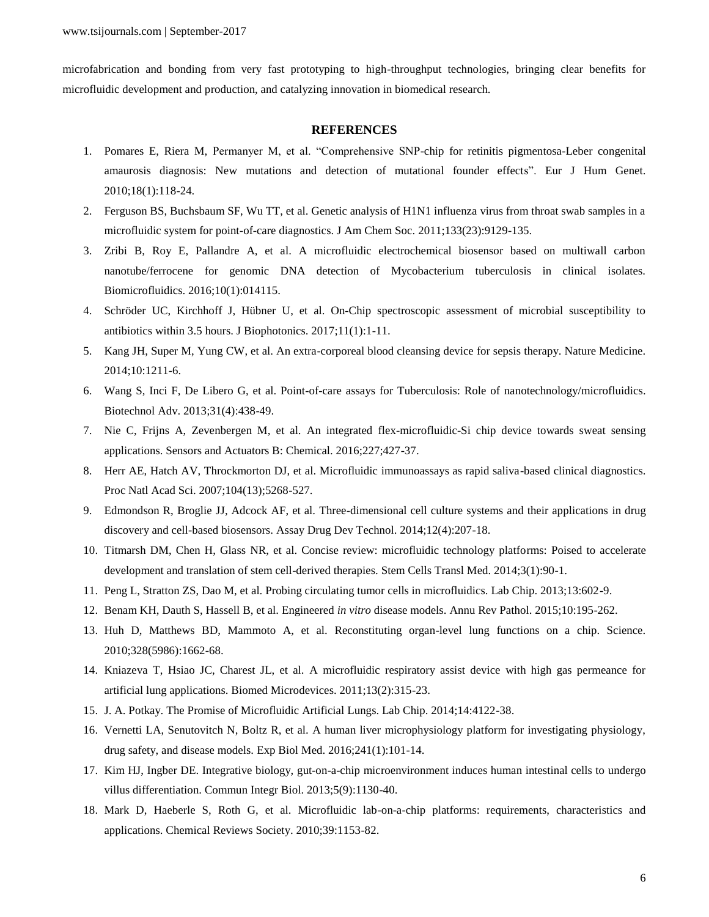microfabrication and bonding from very fast prototyping to high-throughput technologies, bringing clear benefits for microfluidic development and production, and catalyzing innovation in biomedical research.

## **REFERENCES**

- 1. Pomares E, Riera M, Permanyer M, et al. "Comprehensive SNP-chip for retinitis pigmentosa-Leber congenital amaurosis diagnosis: New mutations and detection of mutational founder effects". Eur J Hum Genet. 2010;18(1):118-24.
- 2. Ferguson BS, Buchsbaum SF, Wu TT, et al. Genetic analysis of H1N1 influenza virus from throat swab samples in a microfluidic system for point-of-care diagnostics. J Am Chem Soc. 2011;133(23):9129-135.
- 3. Zribi B, Roy E, Pallandre A, et al. A microfluidic electrochemical biosensor based on multiwall carbon nanotube/ferrocene for genomic DNA detection of Mycobacterium tuberculosis in clinical isolates. Biomicrofluidics. 2016;10(1):014115.
- 4. Schröder UC, Kirchhoff J, Hübner U, et al. On-Chip spectroscopic assessment of microbial susceptibility to antibiotics within 3.5 hours. J Biophotonics. 2017;11(1):1-11.
- 5. Kang JH, Super M, Yung CW, et al. An extra-corporeal blood cleansing device for sepsis therapy. Nature Medicine. 2014;10:1211-6.
- 6. Wang S, Inci F, De Libero G, et al. Point-of-care assays for Tuberculosis: Role of nanotechnology/microfluidics. Biotechnol Adv. 2013;31(4):438-49.
- 7. Nie C, Frijns A, Zevenbergen M, et al. An integrated flex-microfluidic-Si chip device towards sweat sensing applications. Sensors and Actuators B: Chemical. 2016;227;427-37.
- 8. Herr AE, Hatch AV, Throckmorton DJ, et al. Microfluidic immunoassays as rapid saliva-based clinical diagnostics. Proc Natl Acad Sci. 2007;104(13);5268-527.
- 9. Edmondson R, Broglie JJ, Adcock AF, et al. Three-dimensional cell culture systems and their applications in drug discovery and cell-based biosensors. Assay Drug Dev Technol. 2014;12(4):207-18.
- 10. Titmarsh DM, Chen H, Glass NR, et al. Concise review: microfluidic technology platforms: Poised to accelerate development and translation of stem cell-derived therapies. Stem Cells Transl Med. 2014;3(1):90-1.
- 11. Peng L, Stratton ZS, Dao M, et al. Probing circulating tumor cells in microfluidics. Lab Chip. 2013;13:602-9.
- 12. Benam KH, Dauth S, Hassell B, et al. Engineered *in vitro* disease models. Annu Rev Pathol. 2015;10:195-262.
- 13. Huh D, Matthews BD, Mammoto A, et al. Reconstituting organ-level lung functions on a chip. Science. 2010;328(5986):1662-68.
- 14. Kniazeva T, Hsiao JC, Charest JL, et al. A microfluidic respiratory assist device with high gas permeance for artificial lung applications. Biomed Microdevices. 2011;13(2):315-23.
- 15. J. A. Potkay. The Promise of Microfluidic Artificial Lungs. Lab Chip. 2014;14:4122-38.
- 16. Vernetti LA, Senutovitch N, Boltz R, et al. A human liver microphysiology platform for investigating physiology, drug safety, and disease models. Exp Biol Med. 2016;241(1):101-14.
- 17. Kim HJ, Ingber DE. Integrative biology, gut-on-a-chip microenvironment induces human intestinal cells to undergo villus differentiation. Commun Integr Biol. 2013;5(9):1130-40.
- 18. Mark D, Haeberle S, Roth G, et al. Microfluidic lab-on-a-chip platforms: requirements, characteristics and applications. Chemical Reviews Society. 2010;39:1153-82.